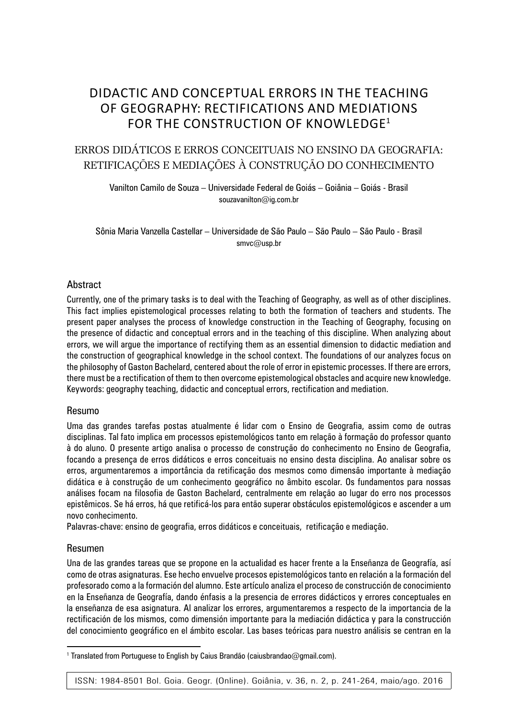### DIDACTIC AND CONCEPTUAL ERRORS IN THE TEACHING OF GEOGRAPHY: RECTIFICATIONS AND MEDIATIONS FOR THE CONSTRUCTION OF KNOWLEDGE1

#### ERROS DIDÁTICOS E ERROS CONCEITUAIS NO ENSINO DA GEOGRAFIA: RETIFICAÇÕES E MEDIAÇÕES À CONSTRUÇÃO DO CONHECIMENTO

Vanilton Camilo de Souza – Universidade Federal de Goiás – Goiânia – Goiás - Brasil souzavanilton@ig.com.br

Sônia Maria Vanzella Castellar – Universidade de São Paulo – São Paulo – São Paulo - Brasil smvc@usp.br

#### Abstract

Currently, one of the primary tasks is to deal with the Teaching of Geography, as well as of other disciplines. This fact implies epistemological processes relating to both the formation of teachers and students. The present paper analyses the process of knowledge construction in the Teaching of Geography, focusing on the presence of didactic and conceptual errors and in the teaching of this discipline. When analyzing about errors, we will argue the importance of rectifying them as an essential dimension to didactic mediation and the construction of geographical knowledge in the school context. The foundations of our analyzes focus on the philosophy of Gaston Bachelard, centered about the role of error in epistemic processes. If there are errors, there must be a rectification of them to then overcome epistemological obstacles and acquire new knowledge. Keywords: geography teaching, didactic and conceptual errors, rectification and mediation.

#### Resumo

Uma das grandes tarefas postas atualmente é lidar com o Ensino de Geografia, assim como de outras disciplinas. Tal fato implica em processos epistemológicos tanto em relação à formação do professor quanto à do aluno. O presente artigo analisa o processo de construção do conhecimento no Ensino de Geografia, focando a presença de erros didáticos e erros conceituais no ensino desta disciplina. Ao analisar sobre os erros, argumentaremos a importância da retificação dos mesmos como dimensão importante à mediação didática e à construção de um conhecimento geográfico no âmbito escolar. Os fundamentos para nossas análises focam na filosofia de Gaston Bachelard, centralmente em relação ao lugar do erro nos processos epistêmicos. Se há erros, há que retificá-los para então superar obstáculos epistemológicos e ascender a um novo conhecimento.

Palavras-chave: ensino de geografia, erros didáticos e conceituais, retificação e mediação.

#### Resumen

Una de las grandes tareas que se propone en la actualidad es hacer frente a la Enseñanza de Geografía, así como de otras asignaturas. Ese hecho envuelve procesos epistemológicos tanto en relación a la formación del profesorado como a la formación del alumno. Este artículo analiza el proceso de construcción de conocimiento en la Enseñanza de Geografía, dando énfasis a la presencia de errores didácticos y errores conceptuales en la enseñanza de esa asignatura. Al analizar los errores, argumentaremos a respecto de la importancia de la rectificación de los mismos, como dimensión importante para la mediación didáctica y para la construcción del conocimiento geográfico en el ámbito escolar. Las bases teóricas para nuestro análisis se centran en la

<sup>&</sup>lt;sup>1</sup> Translated from Portuguese to English by Caius Brandão (caiusbrandao@gmail.com).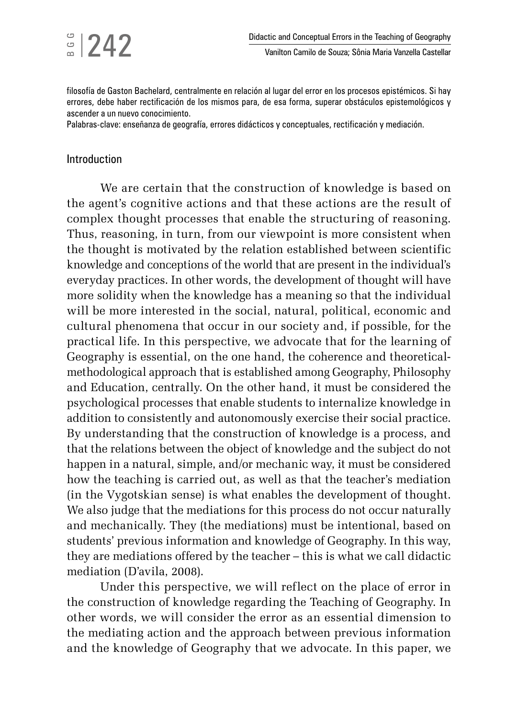filosofía de Gaston Bachelard, centralmente en relación al lugar del error en los procesos epistémicos. Si hay errores, debe haber rectificación de los mismos para, de esa forma, superar obstáculos epistemológicos y ascender a un nuevo conocimiento.

Palabras-clave: enseñanza de geografía, errores didácticos y conceptuales, rectificación y mediación.

#### Introduction

We are certain that the construction of knowledge is based on the agent's cognitive actions and that these actions are the result of complex thought processes that enable the structuring of reasoning. Thus, reasoning, in turn, from our viewpoint is more consistent when the thought is motivated by the relation established between scientific knowledge and conceptions of the world that are present in the individual's everyday practices. In other words, the development of thought will have more solidity when the knowledge has a meaning so that the individual will be more interested in the social, natural, political, economic and cultural phenomena that occur in our society and, if possible, for the practical life. In this perspective, we advocate that for the learning of Geography is essential, on the one hand, the coherence and theoreticalmethodological approach that is established among Geography, Philosophy and Education, centrally. On the other hand, it must be considered the psychological processes that enable students to internalize knowledge in addition to consistently and autonomously exercise their social practice. By understanding that the construction of knowledge is a process, and that the relations between the object of knowledge and the subject do not happen in a natural, simple, and/or mechanic way, it must be considered how the teaching is carried out, as well as that the teacher's mediation (in the Vygotskian sense) is what enables the development of thought. We also judge that the mediations for this process do not occur naturally and mechanically. They (the mediations) must be intentional, based on students' previous information and knowledge of Geography. In this way, they are mediations offered by the teacher – this is what we call didactic mediation (D'avila, 2008).

Under this perspective, we will reflect on the place of error in the construction of knowledge regarding the Teaching of Geography. In other words, we will consider the error as an essential dimension to the mediating action and the approach between previous information and the knowledge of Geography that we advocate. In this paper, we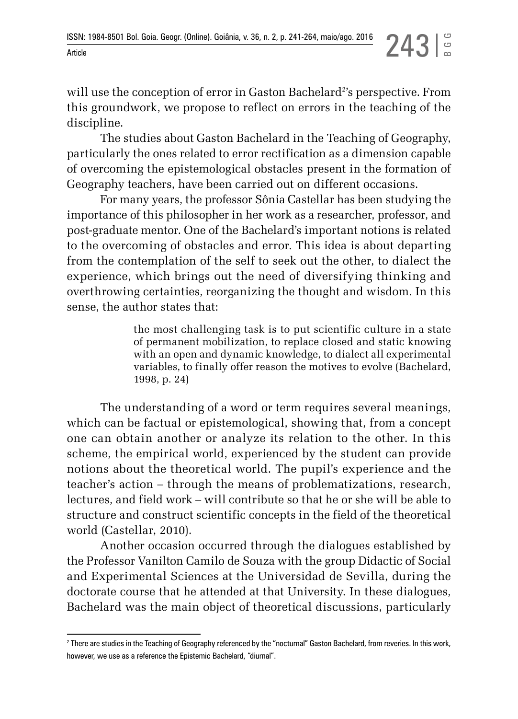will use the conception of error in Gaston Bachelard<sup>2</sup>'s perspective. From this groundwork, we propose to reflect on errors in the teaching of the discipline.

The studies about Gaston Bachelard in the Teaching of Geography, particularly the ones related to error rectification as a dimension capable of overcoming the epistemological obstacles present in the formation of Geography teachers, have been carried out on different occasions.

For many years, the professor Sônia Castellar has been studying the importance of this philosopher in her work as a researcher, professor, and post-graduate mentor. One of the Bachelard's important notions is related to the overcoming of obstacles and error. This idea is about departing from the contemplation of the self to seek out the other, to dialect the experience, which brings out the need of diversifying thinking and overthrowing certainties, reorganizing the thought and wisdom. In this sense, the author states that:

> the most challenging task is to put scientific culture in a state of permanent mobilization, to replace closed and static knowing with an open and dynamic knowledge, to dialect all experimental variables, to finally offer reason the motives to evolve (Bachelard, 1998, p. 24)

The understanding of a word or term requires several meanings, which can be factual or epistemological, showing that, from a concept one can obtain another or analyze its relation to the other. In this scheme, the empirical world, experienced by the student can provide notions about the theoretical world. The pupil's experience and the teacher's action – through the means of problematizations, research, lectures, and field work – will contribute so that he or she will be able to structure and construct scientific concepts in the field of the theoretical world (Castellar, 2010).

Another occasion occurred through the dialogues established by the Professor Vanilton Camilo de Souza with the group Didactic of Social and Experimental Sciences at the Universidad de Sevilla, during the doctorate course that he attended at that University. In these dialogues, Bachelard was the main object of theoretical discussions, particularly

<sup>2</sup> There are studies in the Teaching of Geography referenced by the "nocturnal" Gaston Bachelard, from reveries. In this work, however, we use as a reference the Epistemic Bachelard, "diurnal".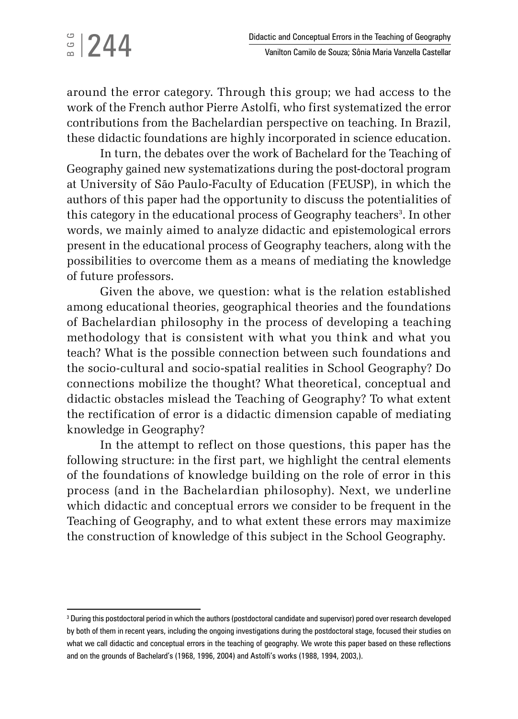# $\frac{3}{2}$ |244

around the error category. Through this group; we had access to the work of the French author Pierre Astolfi, who first systematized the error contributions from the Bachelardian perspective on teaching. In Brazil, these didactic foundations are highly incorporated in science education.

In turn, the debates over the work of Bachelard for the Teaching of Geography gained new systematizations during the post-doctoral program at University of São Paulo-Faculty of Education (FEUSP), in which the authors of this paper had the opportunity to discuss the potentialities of this category in the educational process of Geography teachers<sup>3</sup>. In other words, we mainly aimed to analyze didactic and epistemological errors present in the educational process of Geography teachers, along with the possibilities to overcome them as a means of mediating the knowledge of future professors.

Given the above, we question: what is the relation established among educational theories, geographical theories and the foundations of Bachelardian philosophy in the process of developing a teaching methodology that is consistent with what you think and what you teach? What is the possible connection between such foundations and the socio-cultural and socio-spatial realities in School Geography? Do connections mobilize the thought? What theoretical, conceptual and didactic obstacles mislead the Teaching of Geography? To what extent the rectification of error is a didactic dimension capable of mediating knowledge in Geography?

In the attempt to reflect on those questions, this paper has the following structure: in the first part, we highlight the central elements of the foundations of knowledge building on the role of error in this process (and in the Bachelardian philosophy). Next, we underline which didactic and conceptual errors we consider to be frequent in the Teaching of Geography, and to what extent these errors may maximize the construction of knowledge of this subject in the School Geography.

 $^{\rm 3}$  During this postdoctoral period in which the authors (postdoctoral candidate and supervisor) pored over research developed by both of them in recent years, including the ongoing investigations during the postdoctoral stage, focused their studies on what we call didactic and conceptual errors in the teaching of geography. We wrote this paper based on these reflections and on the grounds of Bachelard's (1968, 1996, 2004) and Astolfi's works (1988, 1994, 2003,).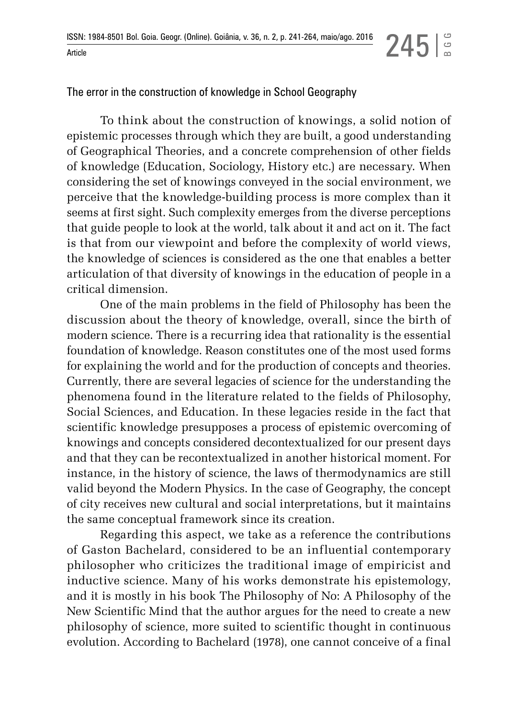BGG

The error in the construction of knowledge in School Geography

To think about the construction of knowings, a solid notion of epistemic processes through which they are built, a good understanding of Geographical Theories, and a concrete comprehension of other fields of knowledge (Education, Sociology, History etc.) are necessary. When considering the set of knowings conveyed in the social environment, we perceive that the knowledge-building process is more complex than it seems at first sight. Such complexity emerges from the diverse perceptions that guide people to look at the world, talk about it and act on it. The fact is that from our viewpoint and before the complexity of world views, the knowledge of sciences is considered as the one that enables a better articulation of that diversity of knowings in the education of people in a critical dimension.

One of the main problems in the field of Philosophy has been the discussion about the theory of knowledge, overall, since the birth of modern science. There is a recurring idea that rationality is the essential foundation of knowledge. Reason constitutes one of the most used forms for explaining the world and for the production of concepts and theories. Currently, there are several legacies of science for the understanding the phenomena found in the literature related to the fields of Philosophy, Social Sciences, and Education. In these legacies reside in the fact that scientific knowledge presupposes a process of epistemic overcoming of knowings and concepts considered decontextualized for our present days and that they can be recontextualized in another historical moment. For instance, in the history of science, the laws of thermodynamics are still valid beyond the Modern Physics. In the case of Geography, the concept of city receives new cultural and social interpretations, but it maintains the same conceptual framework since its creation.

Regarding this aspect, we take as a reference the contributions of Gaston Bachelard, considered to be an influential contemporary philosopher who criticizes the traditional image of empiricist and inductive science. Many of his works demonstrate his epistemology, and it is mostly in his book The Philosophy of No: A Philosophy of the New Scientific Mind that the author argues for the need to create a new philosophy of science, more suited to scientific thought in continuous evolution. According to Bachelard (1978), one cannot conceive of a final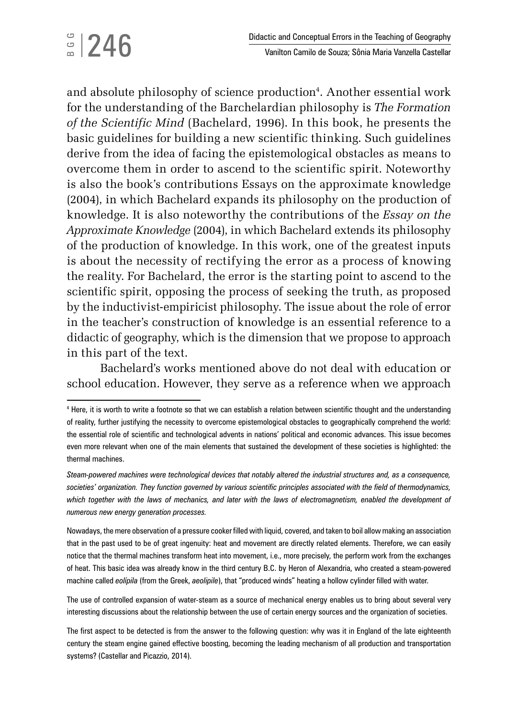and absolute philosophy of science production<sup>4</sup>. Another essential work for the understanding of the Barchelardian philosophy is *The Formation of the Scientific Mind* (Bachelard, 1996). In this book, he presents the basic guidelines for building a new scientific thinking. Such guidelines derive from the idea of facing the epistemological obstacles as means to overcome them in order to ascend to the scientific spirit. Noteworthy is also the book's contributions Essays on the approximate knowledge (2004), in which Bachelard expands its philosophy on the production of knowledge. It is also noteworthy the contributions of the *Essay on the Approximate Knowledge* (2004), in which Bachelard extends its philosophy of the production of knowledge. In this work, one of the greatest inputs is about the necessity of rectifying the error as a process of knowing the reality. For Bachelard, the error is the starting point to ascend to the scientific spirit, opposing the process of seeking the truth, as proposed by the inductivist-empiricist philosophy. The issue about the role of error in the teacher's construction of knowledge is an essential reference to a didactic of geography, which is the dimension that we propose to approach in this part of the text.

Bachelard's works mentioned above do not deal with education or school education. However, they serve as a reference when we approach

Nowadays, the mere observation of a pressure cooker filled with liquid, covered, and taken to boil allow making an association that in the past used to be of great ingenuity: heat and movement are directly related elements. Therefore, we can easily notice that the thermal machines transform heat into movement, i.e., more precisely, the perform work from the exchanges of heat. This basic idea was already know in the third century B.C. by Heron of Alexandria, who created a steam-powered machine called *eolípila* (from the Greek, *aeolipile*), that "produced winds" heating a hollow cylinder filled with water.

The use of controlled expansion of water-steam as a source of mechanical energy enables us to bring about several very interesting discussions about the relationship between the use of certain energy sources and the organization of societies.

The first aspect to be detected is from the answer to the following question: why was it in England of the late eighteenth century the steam engine gained effective boosting, becoming the leading mechanism of all production and transportation systems? (Castellar and Picazzio, 2014).

<sup>4</sup> Here, it is worth to write a footnote so that we can establish a relation between scientific thought and the understanding of reality, further justifying the necessity to overcome epistemological obstacles to geographically comprehend the world: the essential role of scientific and technological advents in nations' political and economic advances. This issue becomes even more relevant when one of the main elements that sustained the development of these societies is highlighted: the thermal machines.

*Steam-powered machines were technological devices that notably altered the industrial structures and, as a consequence, societies' organization. They function governed by various scientific principles associated with the field of thermodynamics,*  which together with the laws of mechanics, and later with the laws of electromagnetism, enabled the development of *numerous new energy generation processes.*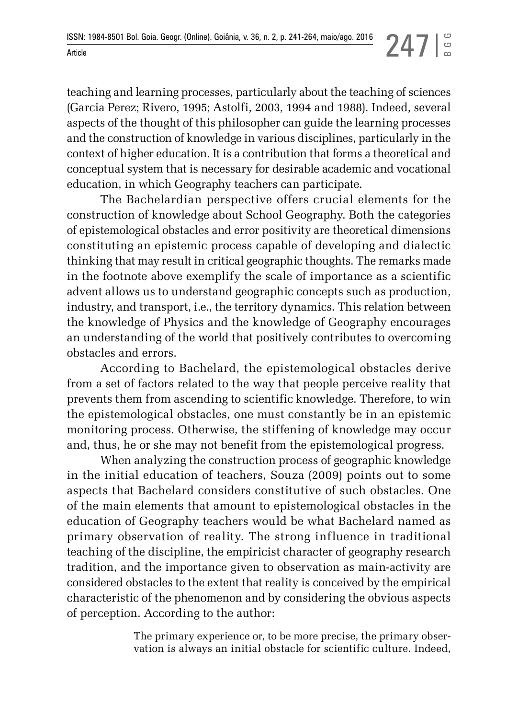teaching and learning processes, particularly about the teaching of sciences (Garcia Perez; Rivero, 1995; Astolfi, 2003, 1994 and 1988). Indeed, several aspects of the thought of this philosopher can guide the learning processes and the construction of knowledge in various disciplines, particularly in the context of higher education. It is a contribution that forms a theoretical and conceptual system that is necessary for desirable academic and vocational education, in which Geography teachers can participate.

The Bachelardian perspective offers crucial elements for the construction of knowledge about School Geography. Both the categories of epistemological obstacles and error positivity are theoretical dimensions constituting an epistemic process capable of developing and dialectic thinking that may result in critical geographic thoughts. The remarks made in the footnote above exemplify the scale of importance as a scientific advent allows us to understand geographic concepts such as production, industry, and transport, i.e., the territory dynamics. This relation between the knowledge of Physics and the knowledge of Geography encourages an understanding of the world that positively contributes to overcoming obstacles and errors.

According to Bachelard, the epistemological obstacles derive from a set of factors related to the way that people perceive reality that prevents them from ascending to scientific knowledge. Therefore, to win the epistemological obstacles, one must constantly be in an epistemic monitoring process. Otherwise, the stiffening of knowledge may occur and, thus, he or she may not benefit from the epistemological progress.

When analyzing the construction process of geographic knowledge in the initial education of teachers, Souza (2009) points out to some aspects that Bachelard considers constitutive of such obstacles. One of the main elements that amount to epistemological obstacles in the education of Geography teachers would be what Bachelard named as primary observation of reality. The strong influence in traditional teaching of the discipline, the empiricist character of geography research tradition, and the importance given to observation as main-activity are considered obstacles to the extent that reality is conceived by the empirical characteristic of the phenomenon and by considering the obvious aspects of perception. According to the author:

> The primary experience or, to be more precise, the primary observation is always an initial obstacle for scientific culture. Indeed,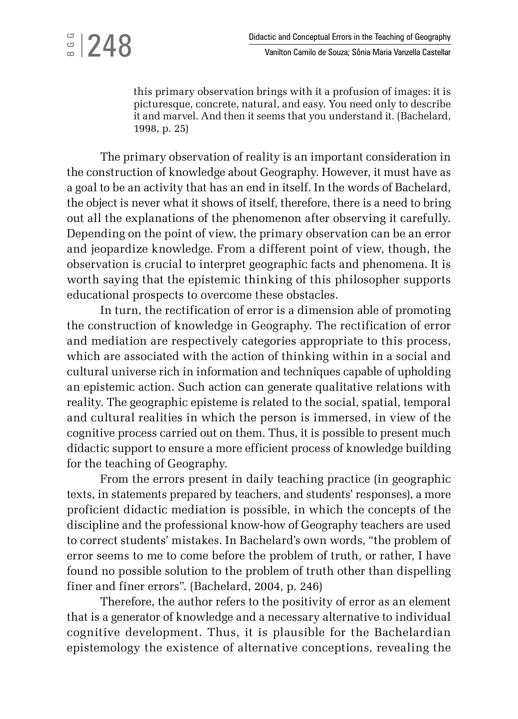## $\frac{3}{2}$ |248

this primary observation brings with it a profusion of images: it is picturesque, concrete, natural, and easy. You need only to describe it and marvel. And then it seems that you understand it. (Bachelard, 1998, p. 25)

The primary observation of reality is an important consideration in the construction of knowledge about Geography. However, it must have as a goal to be an activity that has an end in itself. In the words of Bachelard, the object is never what it shows of itself, therefore, there is a need to bring out all the explanations of the phenomenon after observing it carefully. Depending on the point of view, the primary observation can be an error and jeopardize knowledge. From a different point of view, though, the observation is crucial to interpret geographic facts and phenomena. It is worth saying that the epistemic thinking of this philosopher supports educational prospects to overcome these obstacles.

In turn, the rectification of error is a dimension able of promoting the construction of knowledge in Geography. The rectification of error and mediation are respectively categories appropriate to this process, which are associated with the action of thinking within in a social and cultural universe rich in information and techniques capable of upholding an epistemic action. Such action can generate qualitative relations with reality. The geographic episteme is related to the social, spatial, temporal and cultural realities in which the person is immersed, in view of the cognitive process carried out on them. Thus, it is possible to present much didactic support to ensure a more efficient process of knowledge building for the teaching of Geography.

From the errors present in daily teaching practice (in geographic texts, in statements prepared by teachers, and students' responses), a more proficient didactic mediation is possible, in which the concepts of the discipline and the professional know-how of Geography teachers are used to correct students' mistakes. In Bachelard's own words, "the problem of error seems to me to come before the problem of truth, or rather, I have found no possible solution to the problem of truth other than dispelling finer and finer errors". (Bachelard, 2004, p. 246)

Therefore, the author refers to the positivity of error as an element that is a generator of knowledge and a necessary alternative to individual cognitive development. Thus, it is plausible for the Bachelardian epistemology the existence of alternative conceptions, revealing the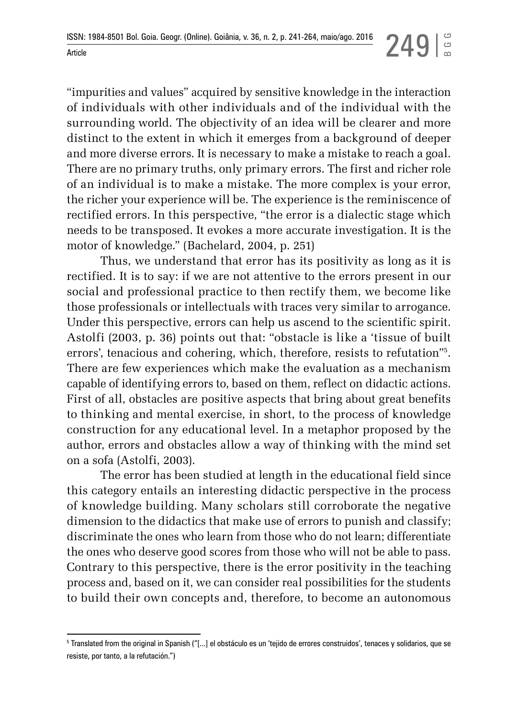"impurities and values" acquired by sensitive knowledge in the interaction of individuals with other individuals and of the individual with the surrounding world. The objectivity of an idea will be clearer and more distinct to the extent in which it emerges from a background of deeper and more diverse errors. It is necessary to make a mistake to reach a goal. There are no primary truths, only primary errors. The first and richer role of an individual is to make a mistake. The more complex is your error, the richer your experience will be. The experience is the reminiscence of rectified errors. In this perspective, "the error is a dialectic stage which needs to be transposed. It evokes a more accurate investigation. It is the motor of knowledge." (Bachelard, 2004, p. 251)

Thus, we understand that error has its positivity as long as it is rectified. It is to say: if we are not attentive to the errors present in our social and professional practice to then rectify them, we become like those professionals or intellectuals with traces very similar to arrogance. Under this perspective, errors can help us ascend to the scientific spirit. Astolfi (2003, p. 36) points out that: "obstacle is like a 'tissue of built errors', tenacious and cohering, which, therefore, resists to refutation"5 . There are few experiences which make the evaluation as a mechanism capable of identifying errors to, based on them, reflect on didactic actions. First of all, obstacles are positive aspects that bring about great benefits to thinking and mental exercise, in short, to the process of knowledge construction for any educational level. In a metaphor proposed by the author, errors and obstacles allow a way of thinking with the mind set on a sofa (Astolfi, 2003).

The error has been studied at length in the educational field since this category entails an interesting didactic perspective in the process of knowledge building. Many scholars still corroborate the negative dimension to the didactics that make use of errors to punish and classify; discriminate the ones who learn from those who do not learn; differentiate the ones who deserve good scores from those who will not be able to pass. Contrary to this perspective, there is the error positivity in the teaching process and, based on it, we can consider real possibilities for the students to build their own concepts and, therefore, to become an autonomous

<sup>5</sup> Translated from the original in Spanish ("[...] el obstáculo es un 'tejido de errores construidos', tenaces y solidarios, que se resiste, por tanto, a la refutación.")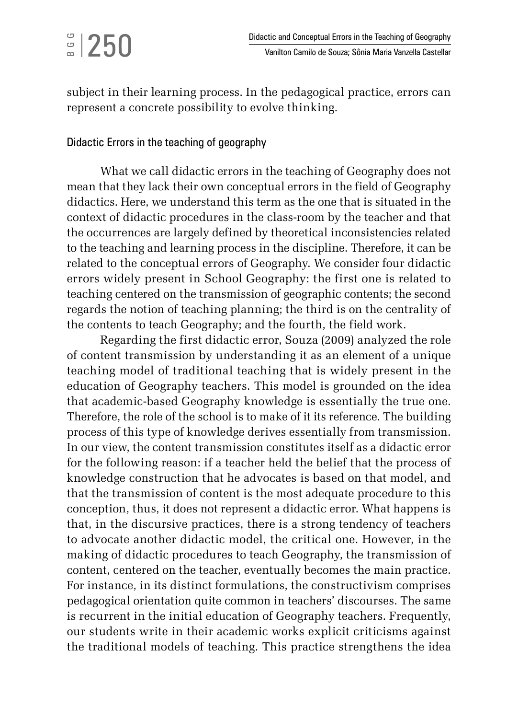subject in their learning process. In the pedagogical practice, errors can represent a concrete possibility to evolve thinking.

### Didactic Errors in the teaching of geography

What we call didactic errors in the teaching of Geography does not mean that they lack their own conceptual errors in the field of Geography didactics. Here, we understand this term as the one that is situated in the context of didactic procedures in the class-room by the teacher and that the occurrences are largely defined by theoretical inconsistencies related to the teaching and learning process in the discipline. Therefore, it can be related to the conceptual errors of Geography. We consider four didactic errors widely present in School Geography: the first one is related to teaching centered on the transmission of geographic contents; the second regards the notion of teaching planning; the third is on the centrality of the contents to teach Geography; and the fourth, the field work.

Regarding the first didactic error, Souza (2009) analyzed the role of content transmission by understanding it as an element of a unique teaching model of traditional teaching that is widely present in the education of Geography teachers. This model is grounded on the idea that academic-based Geography knowledge is essentially the true one. Therefore, the role of the school is to make of it its reference. The building process of this type of knowledge derives essentially from transmission. In our view, the content transmission constitutes itself as a didactic error for the following reason: if a teacher held the belief that the process of knowledge construction that he advocates is based on that model, and that the transmission of content is the most adequate procedure to this conception, thus, it does not represent a didactic error. What happens is that, in the discursive practices, there is a strong tendency of teachers to advocate another didactic model, the critical one. However, in the making of didactic procedures to teach Geography, the transmission of content, centered on the teacher, eventually becomes the main practice. For instance, in its distinct formulations, the constructivism comprises pedagogical orientation quite common in teachers' discourses. The same is recurrent in the initial education of Geography teachers. Frequently, our students write in their academic works explicit criticisms against the traditional models of teaching. This practice strengthens the idea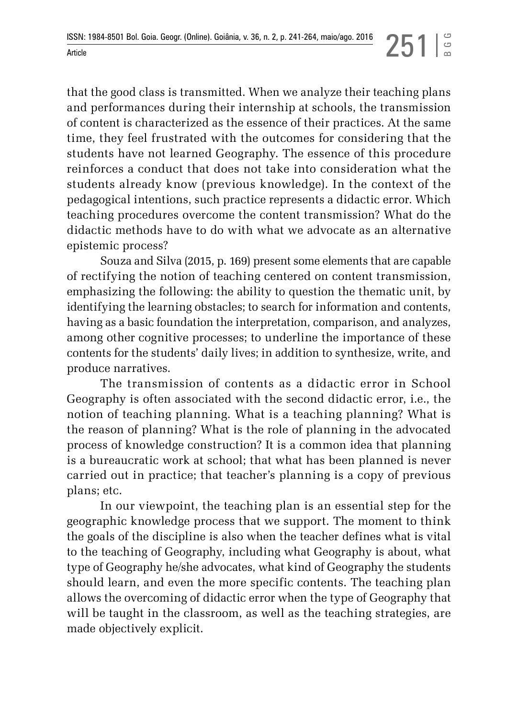that the good class is transmitted. When we analyze their teaching plans and performances during their internship at schools, the transmission of content is characterized as the essence of their practices. At the same time, they feel frustrated with the outcomes for considering that the students have not learned Geography. The essence of this procedure reinforces a conduct that does not take into consideration what the students already know (previous knowledge). In the context of the pedagogical intentions, such practice represents a didactic error. Which teaching procedures overcome the content transmission? What do the didactic methods have to do with what we advocate as an alternative epistemic process?

Souza and Silva (2015, p. 169) present some elements that are capable of rectifying the notion of teaching centered on content transmission, emphasizing the following: the ability to question the thematic unit, by identifying the learning obstacles; to search for information and contents, having as a basic foundation the interpretation, comparison, and analyzes, among other cognitive processes; to underline the importance of these contents for the students' daily lives; in addition to synthesize, write, and produce narratives.

The transmission of contents as a didactic error in School Geography is often associated with the second didactic error, i.e., the notion of teaching planning. What is a teaching planning? What is the reason of planning? What is the role of planning in the advocated process of knowledge construction? It is a common idea that planning is a bureaucratic work at school; that what has been planned is never carried out in practice; that teacher's planning is a copy of previous plans; etc.

In our viewpoint, the teaching plan is an essential step for the geographic knowledge process that we support. The moment to think the goals of the discipline is also when the teacher defines what is vital to the teaching of Geography, including what Geography is about, what type of Geography he/she advocates, what kind of Geography the students should learn, and even the more specific contents. The teaching plan allows the overcoming of didactic error when the type of Geography that will be taught in the classroom, as well as the teaching strategies, are made objectively explicit.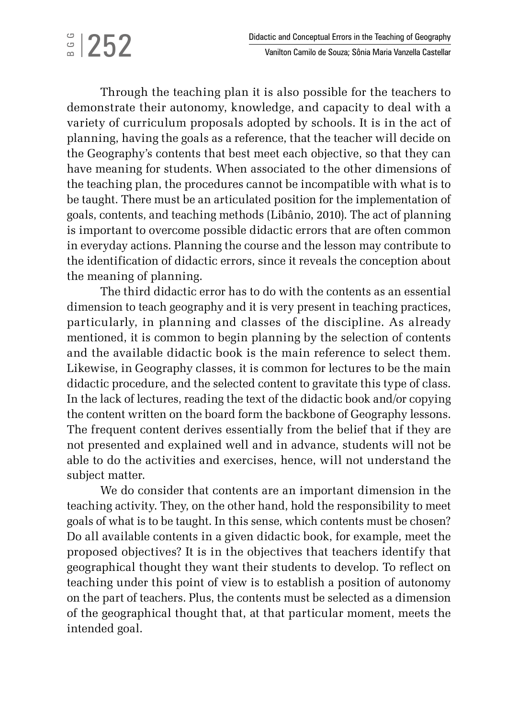# $\frac{6}{2}$ |252

Through the teaching plan it is also possible for the teachers to demonstrate their autonomy, knowledge, and capacity to deal with a variety of curriculum proposals adopted by schools. It is in the act of planning, having the goals as a reference, that the teacher will decide on the Geography's contents that best meet each objective, so that they can have meaning for students. When associated to the other dimensions of the teaching plan, the procedures cannot be incompatible with what is to be taught. There must be an articulated position for the implementation of goals, contents, and teaching methods (Libânio, 2010). The act of planning is important to overcome possible didactic errors that are often common in everyday actions. Planning the course and the lesson may contribute to the identification of didactic errors, since it reveals the conception about the meaning of planning.

The third didactic error has to do with the contents as an essential dimension to teach geography and it is very present in teaching practices, particularly, in planning and classes of the discipline. As already mentioned, it is common to begin planning by the selection of contents and the available didactic book is the main reference to select them. Likewise, in Geography classes, it is common for lectures to be the main didactic procedure, and the selected content to gravitate this type of class. In the lack of lectures, reading the text of the didactic book and/or copying the content written on the board form the backbone of Geography lessons. The frequent content derives essentially from the belief that if they are not presented and explained well and in advance, students will not be able to do the activities and exercises, hence, will not understand the subject matter.

We do consider that contents are an important dimension in the teaching activity. They, on the other hand, hold the responsibility to meet goals of what is to be taught. In this sense, which contents must be chosen? Do all available contents in a given didactic book, for example, meet the proposed objectives? It is in the objectives that teachers identify that geographical thought they want their students to develop. To reflect on teaching under this point of view is to establish a position of autonomy on the part of teachers. Plus, the contents must be selected as a dimension of the geographical thought that, at that particular moment, meets the intended goal.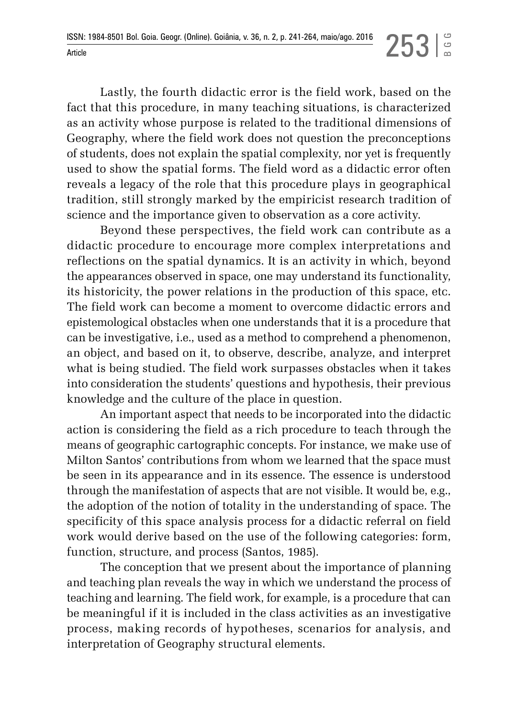Lastly, the fourth didactic error is the field work, based on the fact that this procedure, in many teaching situations, is characterized as an activity whose purpose is related to the traditional dimensions of Geography, where the field work does not question the preconceptions of students, does not explain the spatial complexity, nor yet is frequently used to show the spatial forms. The field word as a didactic error often reveals a legacy of the role that this procedure plays in geographical tradition, still strongly marked by the empiricist research tradition of science and the importance given to observation as a core activity.

Beyond these perspectives, the field work can contribute as a didactic procedure to encourage more complex interpretations and reflections on the spatial dynamics. It is an activity in which, beyond the appearances observed in space, one may understand its functionality, its historicity, the power relations in the production of this space, etc. The field work can become a moment to overcome didactic errors and epistemological obstacles when one understands that it is a procedure that can be investigative, i.e., used as a method to comprehend a phenomenon, an object, and based on it, to observe, describe, analyze, and interpret what is being studied. The field work surpasses obstacles when it takes into consideration the students' questions and hypothesis, their previous knowledge and the culture of the place in question.

An important aspect that needs to be incorporated into the didactic action is considering the field as a rich procedure to teach through the means of geographic cartographic concepts. For instance, we make use of Milton Santos' contributions from whom we learned that the space must be seen in its appearance and in its essence. The essence is understood through the manifestation of aspects that are not visible. It would be, e.g., the adoption of the notion of totality in the understanding of space. The specificity of this space analysis process for a didactic referral on field work would derive based on the use of the following categories: form, function, structure, and process (Santos, 1985).

The conception that we present about the importance of planning and teaching plan reveals the way in which we understand the process of teaching and learning. The field work, for example, is a procedure that can be meaningful if it is included in the class activities as an investigative process, making records of hypotheses, scenarios for analysis, and interpretation of Geography structural elements.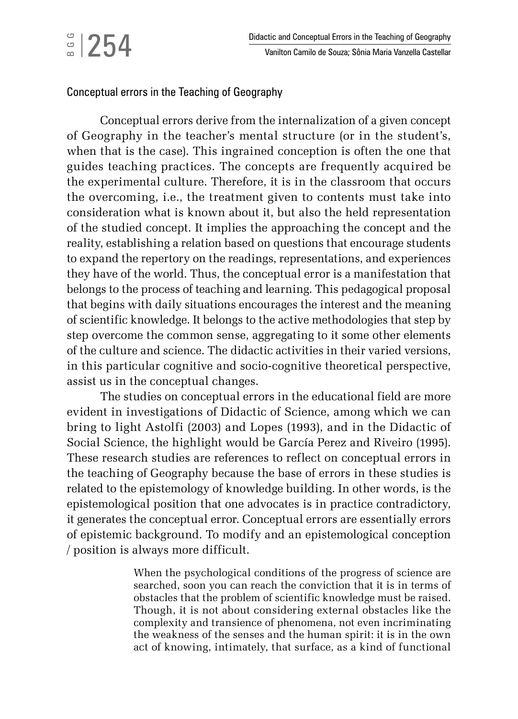### Conceptual errors in the Teaching of Geography

Conceptual errors derive from the internalization of a given concept of Geography in the teacher's mental structure (or in the student's, when that is the case). This ingrained conception is often the one that guides teaching practices. The concepts are frequently acquired be the experimental culture. Therefore, it is in the classroom that occurs the overcoming, i.e., the treatment given to contents must take into consideration what is known about it, but also the held representation of the studied concept. It implies the approaching the concept and the reality, establishing a relation based on questions that encourage students to expand the repertory on the readings, representations, and experiences they have of the world. Thus, the conceptual error is a manifestation that belongs to the process of teaching and learning. This pedagogical proposal that begins with daily situations encourages the interest and the meaning of scientific knowledge. It belongs to the active methodologies that step by step overcome the common sense, aggregating to it some other elements of the culture and science. The didactic activities in their varied versions, in this particular cognitive and socio-cognitive theoretical perspective, assist us in the conceptual changes.

The studies on conceptual errors in the educational field are more evident in investigations of Didactic of Science, among which we can bring to light Astolfi (2003) and Lopes (1993), and in the Didactic of Social Science, the highlight would be García Perez and Riveiro (1995). These research studies are references to reflect on conceptual errors in the teaching of Geography because the base of errors in these studies is related to the epistemology of knowledge building. In other words, is the epistemological position that one advocates is in practice contradictory, it generates the conceptual error. Conceptual errors are essentially errors of epistemic background. To modify and an epistemological conception / position is always more difficult.

> When the psychological conditions of the progress of science are searched, soon you can reach the conviction that it is in terms of obstacles that the problem of scientific knowledge must be raised. Though, it is not about considering external obstacles like the complexity and transience of phenomena, not even incriminating the weakness of the senses and the human spirit: it is in the own act of knowing, intimately, that surface, as a kind of functional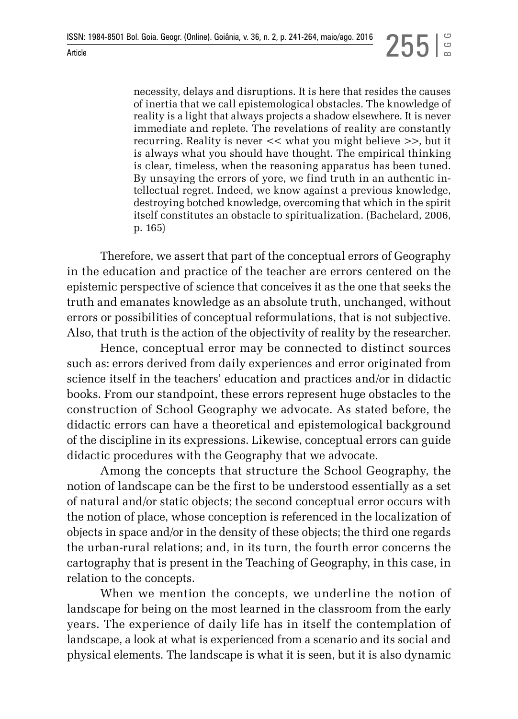necessity, delays and disruptions. It is here that resides the causes of inertia that we call epistemological obstacles. The knowledge of reality is a light that always projects a shadow elsewhere. It is never immediate and replete. The revelations of reality are constantly recurring. Reality is never << what you might believe >>, but it is always what you should have thought. The empirical thinking is clear, timeless, when the reasoning apparatus has been tuned. By unsaying the errors of yore, we find truth in an authentic intellectual regret. Indeed, we know against a previous knowledge, destroying botched knowledge, overcoming that which in the spirit itself constitutes an obstacle to spiritualization. (Bachelard, 2006, p. 165)

Therefore, we assert that part of the conceptual errors of Geography in the education and practice of the teacher are errors centered on the epistemic perspective of science that conceives it as the one that seeks the truth and emanates knowledge as an absolute truth, unchanged, without errors or possibilities of conceptual reformulations, that is not subjective. Also, that truth is the action of the objectivity of reality by the researcher.

Hence, conceptual error may be connected to distinct sources such as: errors derived from daily experiences and error originated from science itself in the teachers' education and practices and/or in didactic books. From our standpoint, these errors represent huge obstacles to the construction of School Geography we advocate. As stated before, the didactic errors can have a theoretical and epistemological background of the discipline in its expressions. Likewise, conceptual errors can guide didactic procedures with the Geography that we advocate.

Among the concepts that structure the School Geography, the notion of landscape can be the first to be understood essentially as a set of natural and/or static objects; the second conceptual error occurs with the notion of place, whose conception is referenced in the localization of objects in space and/or in the density of these objects; the third one regards the urban-rural relations; and, in its turn, the fourth error concerns the cartography that is present in the Teaching of Geography, in this case, in relation to the concepts.

When we mention the concepts, we underline the notion of landscape for being on the most learned in the classroom from the early years. The experience of daily life has in itself the contemplation of landscape, a look at what is experienced from a scenario and its social and physical elements. The landscape is what it is seen, but it is also dynamic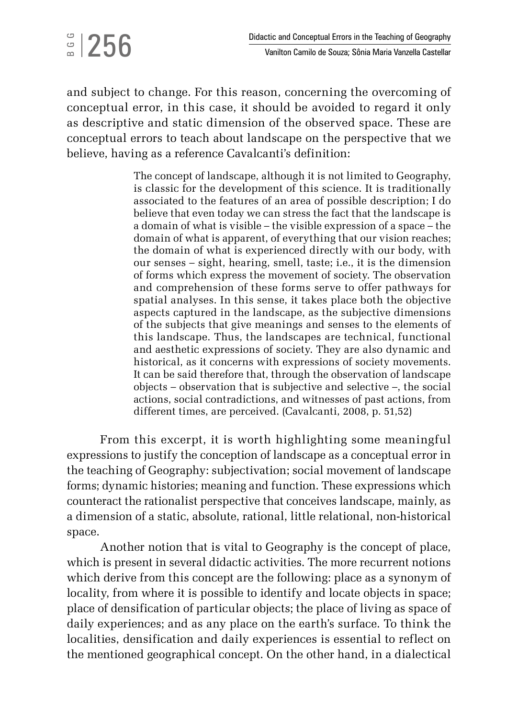and subject to change. For this reason, concerning the overcoming of conceptual error, in this case, it should be avoided to regard it only as descriptive and static dimension of the observed space. These are conceptual errors to teach about landscape on the perspective that we believe, having as a reference Cavalcanti's definition:

 $\frac{1}{2}$ |256

The concept of landscape, although it is not limited to Geography, is classic for the development of this science. It is traditionally associated to the features of an area of possible description; I do believe that even today we can stress the fact that the landscape is a domain of what is visible – the visible expression of a space – the domain of what is apparent, of everything that our vision reaches; the domain of what is experienced directly with our body, with our senses – sight, hearing, smell, taste; i.e., it is the dimension of forms which express the movement of society. The observation and comprehension of these forms serve to offer pathways for spatial analyses. In this sense, it takes place both the objective aspects captured in the landscape, as the subjective dimensions of the subjects that give meanings and senses to the elements of this landscape. Thus, the landscapes are technical, functional and aesthetic expressions of society. They are also dynamic and historical, as it concerns with expressions of society movements. It can be said therefore that, through the observation of landscape objects – observation that is subjective and selective –, the social actions, social contradictions, and witnesses of past actions, from different times, are perceived. (Cavalcanti, 2008, p. 51,52)

From this excerpt, it is worth highlighting some meaningful expressions to justify the conception of landscape as a conceptual error in the teaching of Geography: subjectivation; social movement of landscape forms; dynamic histories; meaning and function. These expressions which counteract the rationalist perspective that conceives landscape, mainly, as a dimension of a static, absolute, rational, little relational, non-historical space.

Another notion that is vital to Geography is the concept of place, which is present in several didactic activities. The more recurrent notions which derive from this concept are the following: place as a synonym of locality, from where it is possible to identify and locate objects in space; place of densification of particular objects; the place of living as space of daily experiences; and as any place on the earth's surface. To think the localities, densification and daily experiences is essential to reflect on the mentioned geographical concept. On the other hand, in a dialectical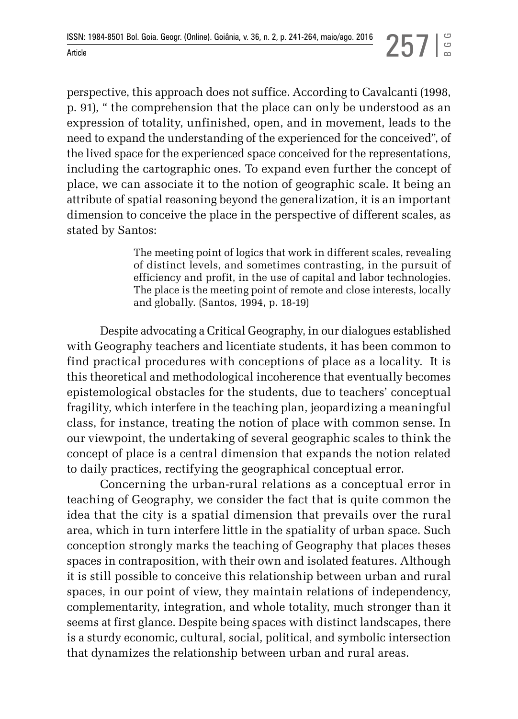perspective, this approach does not suffice. According to Cavalcanti (1998, p. 91), " the comprehension that the place can only be understood as an expression of totality, unfinished, open, and in movement, leads to the need to expand the understanding of the experienced for the conceived", of the lived space for the experienced space conceived for the representations, including the cartographic ones. To expand even further the concept of place, we can associate it to the notion of geographic scale. It being an attribute of spatial reasoning beyond the generalization, it is an important dimension to conceive the place in the perspective of different scales, as stated by Santos:

> The meeting point of logics that work in different scales, revealing of distinct levels, and sometimes contrasting, in the pursuit of efficiency and profit, in the use of capital and labor technologies. The place is the meeting point of remote and close interests, locally and globally. (Santos, 1994, p. 18-19)

Despite advocating a Critical Geography, in our dialogues established with Geography teachers and licentiate students, it has been common to find practical procedures with conceptions of place as a locality. It is this theoretical and methodological incoherence that eventually becomes epistemological obstacles for the students, due to teachers' conceptual fragility, which interfere in the teaching plan, jeopardizing a meaningful class, for instance, treating the notion of place with common sense. In our viewpoint, the undertaking of several geographic scales to think the concept of place is a central dimension that expands the notion related to daily practices, rectifying the geographical conceptual error.

Concerning the urban-rural relations as a conceptual error in teaching of Geography, we consider the fact that is quite common the idea that the city is a spatial dimension that prevails over the rural area, which in turn interfere little in the spatiality of urban space. Such conception strongly marks the teaching of Geography that places theses spaces in contraposition, with their own and isolated features. Although it is still possible to conceive this relationship between urban and rural spaces, in our point of view, they maintain relations of independency, complementarity, integration, and whole totality, much stronger than it seems at first glance. Despite being spaces with distinct landscapes, there is a sturdy economic, cultural, social, political, and symbolic intersection that dynamizes the relationship between urban and rural areas.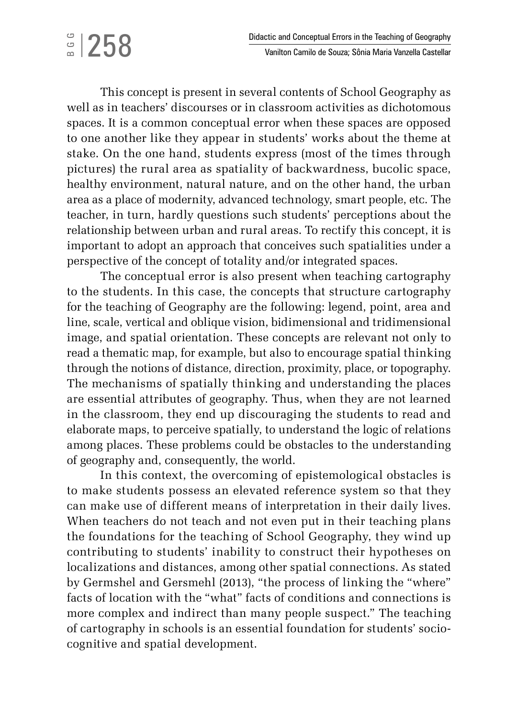## $\frac{1}{2}$ |258

This concept is present in several contents of School Geography as well as in teachers' discourses or in classroom activities as dichotomous spaces. It is a common conceptual error when these spaces are opposed to one another like they appear in students' works about the theme at stake. On the one hand, students express (most of the times through pictures) the rural area as spatiality of backwardness, bucolic space, healthy environment, natural nature, and on the other hand, the urban area as a place of modernity, advanced technology, smart people, etc. The teacher, in turn, hardly questions such students' perceptions about the relationship between urban and rural areas. To rectify this concept, it is important to adopt an approach that conceives such spatialities under a perspective of the concept of totality and/or integrated spaces.

The conceptual error is also present when teaching cartography to the students. In this case, the concepts that structure cartography for the teaching of Geography are the following: legend, point, area and line, scale, vertical and oblique vision, bidimensional and tridimensional image, and spatial orientation. These concepts are relevant not only to read a thematic map, for example, but also to encourage spatial thinking through the notions of distance, direction, proximity, place, or topography. The mechanisms of spatially thinking and understanding the places are essential attributes of geography. Thus, when they are not learned in the classroom, they end up discouraging the students to read and elaborate maps, to perceive spatially, to understand the logic of relations among places. These problems could be obstacles to the understanding of geography and, consequently, the world.

In this context, the overcoming of epistemological obstacles is to make students possess an elevated reference system so that they can make use of different means of interpretation in their daily lives. When teachers do not teach and not even put in their teaching plans the foundations for the teaching of School Geography, they wind up contributing to students' inability to construct their hypotheses on localizations and distances, among other spatial connections. As stated by Germshel and Gersmehl (2013), "the process of linking the "where" facts of location with the "what" facts of conditions and connections is more complex and indirect than many people suspect." The teaching of cartography in schools is an essential foundation for students' sociocognitive and spatial development.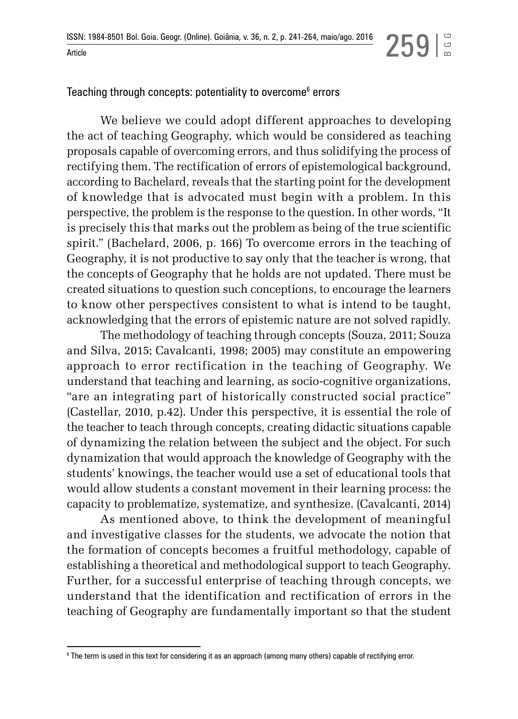BGG

Teaching through concepts: potentiality to overcome $^{\rm 6}$  errors

We believe we could adopt different approaches to developing the act of teaching Geography, which would be considered as teaching proposals capable of overcoming errors, and thus solidifying the process of rectifying them. The rectification of errors of epistemological background, according to Bachelard, reveals that the starting point for the development of knowledge that is advocated must begin with a problem. In this perspective, the problem is the response to the question. In other words, "It is precisely this that marks out the problem as being of the true scientific spirit." (Bachelard, 2006, p. 166) To overcome errors in the teaching of Geography, it is not productive to say only that the teacher is wrong, that the concepts of Geography that he holds are not updated. There must be created situations to question such conceptions, to encourage the learners to know other perspectives consistent to what is intend to be taught, acknowledging that the errors of epistemic nature are not solved rapidly.

The methodology of teaching through concepts (Souza, 2011; Souza and Silva, 2015; Cavalcanti, 1998; 2005) may constitute an empowering approach to error rectification in the teaching of Geography. We understand that teaching and learning, as socio-cognitive organizations, "are an integrating part of historically constructed social practice" (Castellar, 2010, p.42). Under this perspective, it is essential the role of the teacher to teach through concepts, creating didactic situations capable of dynamizing the relation between the subject and the object. For such dynamization that would approach the knowledge of Geography with the students' knowings, the teacher would use a set of educational tools that would allow students a constant movement in their learning process: the capacity to problematize, systematize, and synthesize. (Cavalcanti, 2014)

As mentioned above, to think the development of meaningful and investigative classes for the students, we advocate the notion that the formation of concepts becomes a fruitful methodology, capable of establishing a theoretical and methodological support to teach Geography. Further, for a successful enterprise of teaching through concepts, we understand that the identification and rectification of errors in the teaching of Geography are fundamentally important so that the student

<sup>6</sup> The term is used in this text for considering it as an approach (among many others) capable of rectifying error.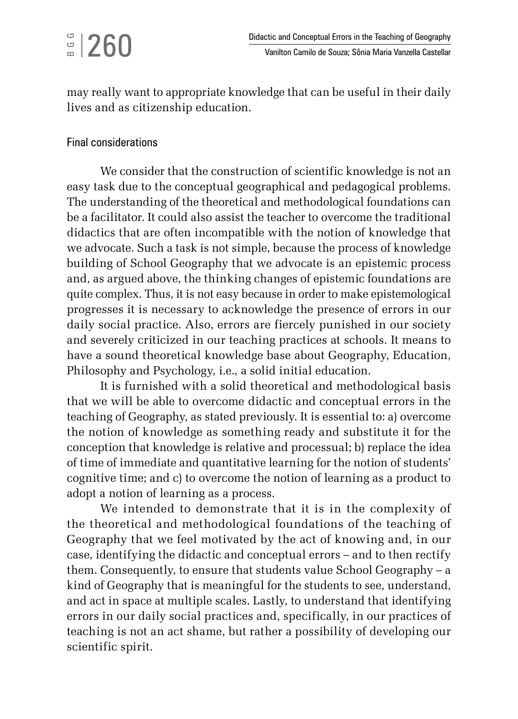## $\frac{1}{2}$ |260

may really want to appropriate knowledge that can be useful in their daily lives and as citizenship education.

### Final considerations

We consider that the construction of scientific knowledge is not an easy task due to the conceptual geographical and pedagogical problems. The understanding of the theoretical and methodological foundations can be a facilitator. It could also assist the teacher to overcome the traditional didactics that are often incompatible with the notion of knowledge that we advocate. Such a task is not simple, because the process of knowledge building of School Geography that we advocate is an epistemic process and, as argued above, the thinking changes of epistemic foundations are quite complex. Thus, it is not easy because in order to make epistemological progresses it is necessary to acknowledge the presence of errors in our daily social practice. Also, errors are fiercely punished in our society and severely criticized in our teaching practices at schools. It means to have a sound theoretical knowledge base about Geography, Education, Philosophy and Psychology, i.e., a solid initial education.

It is furnished with a solid theoretical and methodological basis that we will be able to overcome didactic and conceptual errors in the teaching of Geography, as stated previously. It is essential to: a) overcome the notion of knowledge as something ready and substitute it for the conception that knowledge is relative and processual; b) replace the idea of time of immediate and quantitative learning for the notion of students' cognitive time; and c) to overcome the notion of learning as a product to adopt a notion of learning as a process.

We intended to demonstrate that it is in the complexity of the theoretical and methodological foundations of the teaching of Geography that we feel motivated by the act of knowing and, in our case, identifying the didactic and conceptual errors – and to then rectify them. Consequently, to ensure that students value School Geography – a kind of Geography that is meaningful for the students to see, understand, and act in space at multiple scales. Lastly, to understand that identifying errors in our daily social practices and, specifically, in our practices of teaching is not an act shame, but rather a possibility of developing our scientific spirit.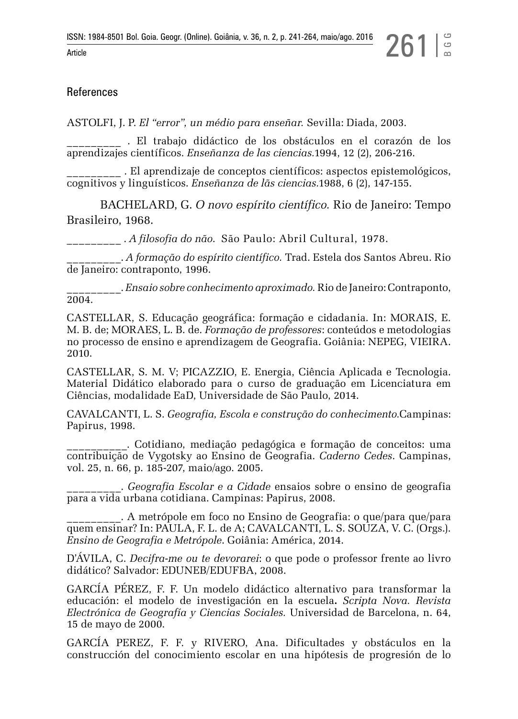#### References

ASTOLFI, J. P. *El "error", un médio para enseñar.* Sevilla: Diada, 2003.

\_\_\_\_\_\_\_\_\_ . El trabajo didáctico de los obstáculos en el corazón de los aprendizajes científicos. *Enseñanza de las ciencias.*1994, 12 (2), 206-216.

\_\_ . El aprendizaje de conceptos científicos: aspectos epistemológicos, cognitivos y linguísticos. *Enseñanza de lãs ciencias.*1988, 6 (2), 147-155.

BACHELARD, G. *O novo espírito científico.* Rio de Janeiro: Tempo Brasileiro, 1968.

\_\_\_\_\_\_\_\_\_ . *A filosofia do não*. São Paulo: Abril Cultural, 1978.

\_\_\_\_\_\_\_\_\_. *A formação do espírito científico.* Trad. Estela dos Santos Abreu. Rio de Janeiro: contraponto, 1996.

\_\_\_\_\_\_\_\_\_. *Ensaio sobre conhecimento aproximado.* Rio de Janeiro: Contraponto, 2004.

CASTELLAR, S. Educação geográfica: formação e cidadania. In: MORAIS, E. M. B. de; MORAES, L. B. de. *Formação de professores*: conteúdos e metodologias no processo de ensino e aprendizagem de Geografia. Goiânia: NEPEG, VIEIRA. 2010.

CASTELLAR, S. M. V; PICAZZIO, E. Energia, Ciência Aplicada e Tecnologia. Material Didático elaborado para o curso de graduação em Licenciatura em Ciências, modalidade EaD, Universidade de São Paulo, 2014.

CAVALCANTI, L. S. *Geografia, Escola e construção do conhecimento.*Campinas: Papirus, 1998.

\_\_\_\_\_\_\_\_\_\_. Cotidiano, mediação pedagógica e formação de conceitos: uma contribuição de Vygotsky ao Ensino de Geografia. *Caderno Cedes*. Campinas, vol. 25, n. 66, p. 185-207, maio/ago. 2005.

\_\_\_\_\_\_\_\_\_. *Geografia Escolar e a Cidade* ensaios sobre o ensino de geografia para a vida urbana cotidiana. Campinas: Papirus, 2008.

\_\_\_\_\_\_\_\_\_. A metrópole em foco no Ensino de Geografia: o que/para que/para quem ensinar? In: PAULA, F. L. de A; CAVALCANTI, L. S. SOUZA, V. C. (Orgs.). *Ensino de Geografia e Metrópole*. Goiânia: América, 2014.

D'ÁVILA, C. *Decifra-me ou te devorarei*: o que pode o professor frente ao livro didático? Salvador: EDUNEB/EDUFBA, 2008.

GARCÍA PÉREZ, F. F. Un modelo didáctico alternativo para transformar la educación: el modelo de investigación en la escuela**.** *Scripta Nova. Revista Electrónica de Geografía y Ciencias Sociales.* Universidad de Barcelona, n. 64, 15 de mayo de 2000.

GARCÍA PEREZ, F. F. y RIVERO, Ana. Dificultades y obstáculos en la construcción del conocimiento escolar en una hipótesis de progresión de lo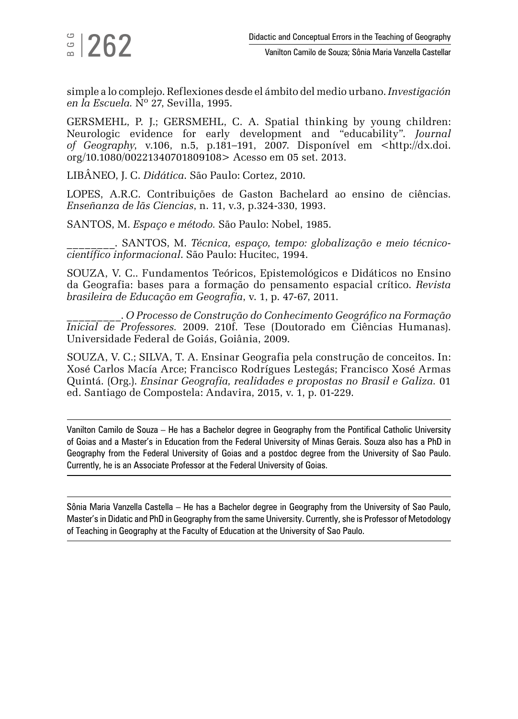simple a lo complejo. Reflexiones desde el ámbito del medio urbano. *Investigación en la Escuela.* Nº 27, Sevilla, 1995.

GERSMEHL, P. J.; GERSMEHL, C. A. Spatial thinking by young children: Neurologic evidence for early development and "educability". *Journal of Geography*, v.106, n.5, p.181–191, 2007. Disponível em [<http://dx.doi.](http://dx.doi.org/10.1080/00221340701809108) [org/10.1080/00221340701809108>](http://dx.doi.org/10.1080/00221340701809108) Acesso em 05 set. 2013.

LIBÂNEO, J. C. *Didática*. São Paulo: Cortez, 2010.

LOPES, A.R.C. Contribuições de Gaston Bachelard ao ensino de ciências. *Enseñanza de lãs Ciencias*, n. 11, v.3, p.324-330, 1993.

SANTOS, M. *Espaço e método.* São Paulo: Nobel, 1985.

\_\_\_\_\_\_\_\_. SANTOS, M. *Técnica, espaço, tempo: globalização e meio técnicocientífico informacional*. São Paulo: Hucitec, 1994.

[SOUZA, V.](http://lattes.cnpq.br/1374656969635983) C.. Fundamentos Teóricos, Epistemológicos e Didáticos no Ensino da Geografia: bases para a formação do pensamento espacial crítico. *Revista brasileira de Educação em Geografia*, v. 1, p. 47-67, 2011.

\_\_\_\_\_\_\_\_\_. *O Processo de Construção do Conhecimento Geográfico na Formação Inicial de Professores.* 2009. 210f. Tese (Doutorado em Ciências Humanas). Universidade Federal de Goiás, Goiânia, 2009.

[SOUZA, V.](http://lattes.cnpq.br/1374656969635983) C.; SILVA, T. A. Ensinar Geografia pela construção de conceitos. In: Xosé Carlos Macía Arce; Francisco Rodrígues Lestegás; Francisco Xosé Armas Quintá. (Org.). *Ensinar Geografia, realidades e propostas no Brasil e Galiza.* 01 ed. Santiago de Compostela: Andavira, 2015, v. 1, p. 01-229.

Vanilton Camilo de Souza – He has a Bachelor degree in Geography from the Pontifical Catholic University of Goias and a Master's in Education from the Federal University of Minas Gerais. Souza also has a PhD in Geography from the Federal University of Goias and a postdoc degree from the University of Sao Paulo. Currently, he is an Associate Professor at the Federal University of Goias.

Sônia Maria Vanzella Castella – He has a Bachelor degree in Geography from the University of Sao Paulo, Master's in Didatic and PhD in Geography from the same University. Currently, she is Professor of Metodology of Teaching in Geography at the Faculty of Education at the University of Sao Paulo.